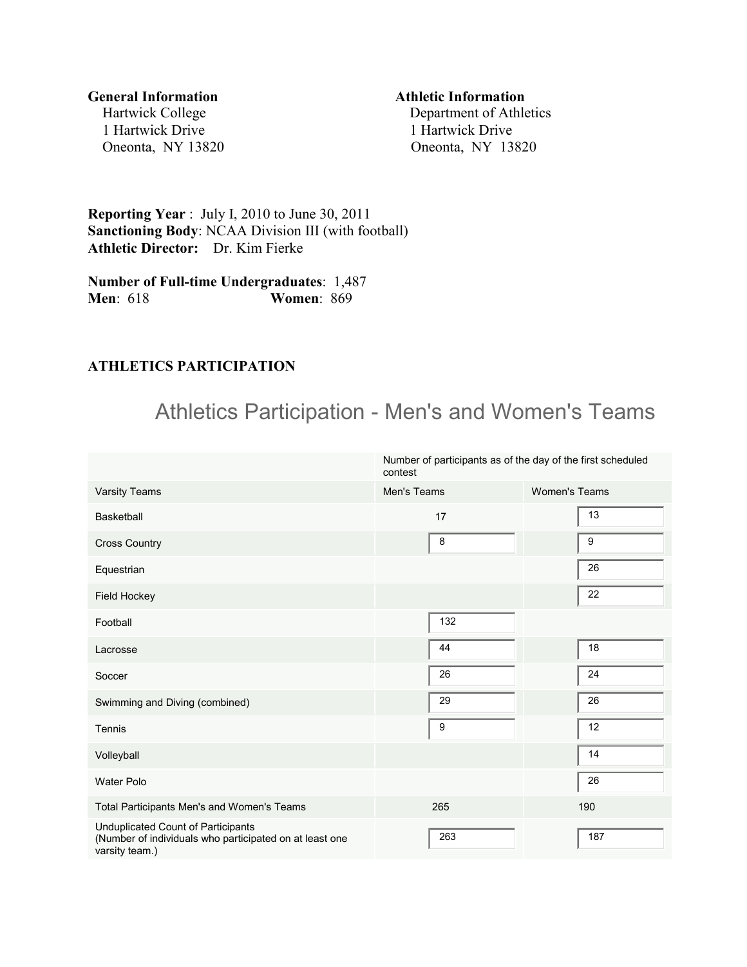1 Hartwick Drive 1 Hartwick Drive

#### **General Information Athletic Information**

Hartwick College Department of Athletics Oneonta, NY 13820 Oneonta, NY 13820

**Reporting Year** : July I, 2010 to June 30, 2011 **Sanctioning Body**: NCAA Division III (with football) **Athletic Director:** Dr. Kim Fierke

**Number of Full-time Undergraduates**: 1,487 **Men**: 618 **Women**: 869

#### **ATHLETICS PARTICIPATION**

# Athletics Participation - Men's and Women's Teams

|                                                                                                                 | Number of participants as of the day of the first scheduled<br>contest |                      |  |  |  |
|-----------------------------------------------------------------------------------------------------------------|------------------------------------------------------------------------|----------------------|--|--|--|
| Varsity Teams                                                                                                   | Men's Teams                                                            | <b>Women's Teams</b> |  |  |  |
| <b>Basketball</b>                                                                                               | 17                                                                     | 13                   |  |  |  |
| <b>Cross Country</b>                                                                                            | 8                                                                      | 9                    |  |  |  |
| Equestrian                                                                                                      |                                                                        | 26                   |  |  |  |
| Field Hockey                                                                                                    |                                                                        | 22                   |  |  |  |
| Football                                                                                                        | 132                                                                    |                      |  |  |  |
| Lacrosse                                                                                                        | 44                                                                     | 18                   |  |  |  |
| Soccer                                                                                                          | 26                                                                     | 24                   |  |  |  |
| Swimming and Diving (combined)                                                                                  | 29                                                                     | 26                   |  |  |  |
| Tennis                                                                                                          | 9                                                                      | 12                   |  |  |  |
| Volleyball                                                                                                      |                                                                        | 14                   |  |  |  |
| <b>Water Polo</b>                                                                                               |                                                                        | 26                   |  |  |  |
| Total Participants Men's and Women's Teams                                                                      | 265                                                                    | 190                  |  |  |  |
| Unduplicated Count of Participants<br>(Number of individuals who participated on at least one<br>varsity team.) | 263                                                                    | 187                  |  |  |  |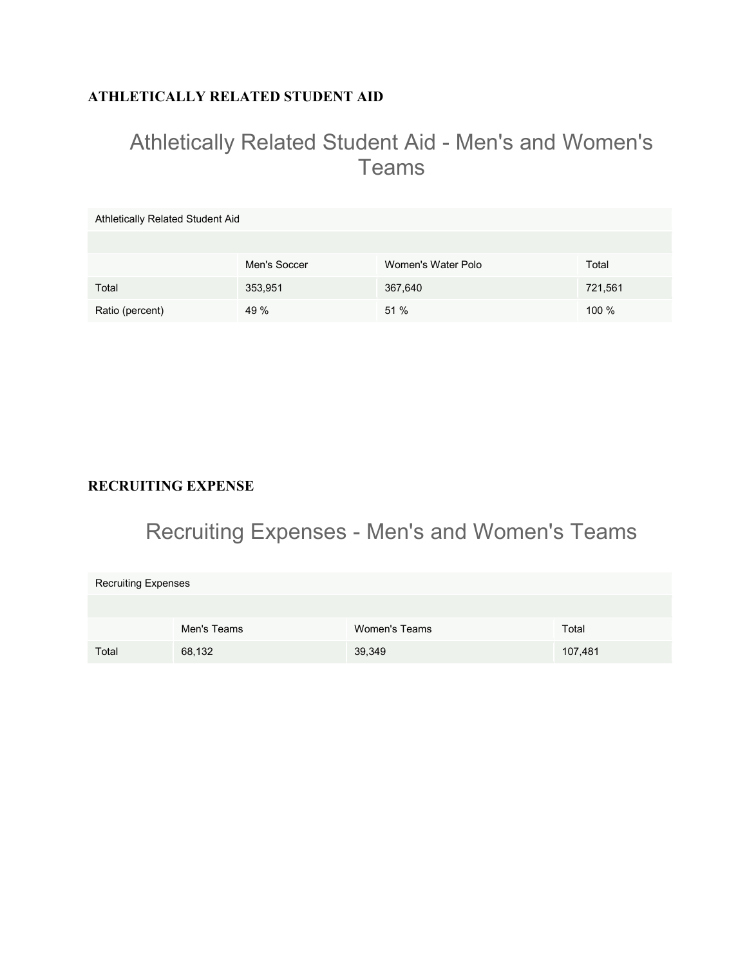# **ATHLETICALLY RELATED STUDENT AID**

# Athletically Related Student Aid - Men's and Women's Teams

| Athletically Related Student Aid |              |                    |          |  |  |  |  |  |
|----------------------------------|--------------|--------------------|----------|--|--|--|--|--|
|                                  |              |                    |          |  |  |  |  |  |
|                                  | Men's Soccer | Women's Water Polo | Total    |  |  |  |  |  |
| Total                            | 353,951      | 367,640            | 721,561  |  |  |  |  |  |
| Ratio (percent)                  | 49 %         | 51 %               | $100 \%$ |  |  |  |  |  |

### **RECRUITING EXPENSE**

# Recruiting Expenses - Men's and Women's Teams

| <b>Recruiting Expenses</b> |             |               |         |  |  |  |  |
|----------------------------|-------------|---------------|---------|--|--|--|--|
|                            |             |               |         |  |  |  |  |
|                            | Men's Teams | Women's Teams | Total   |  |  |  |  |
| Total                      | 68,132      | 39,349        | 107,481 |  |  |  |  |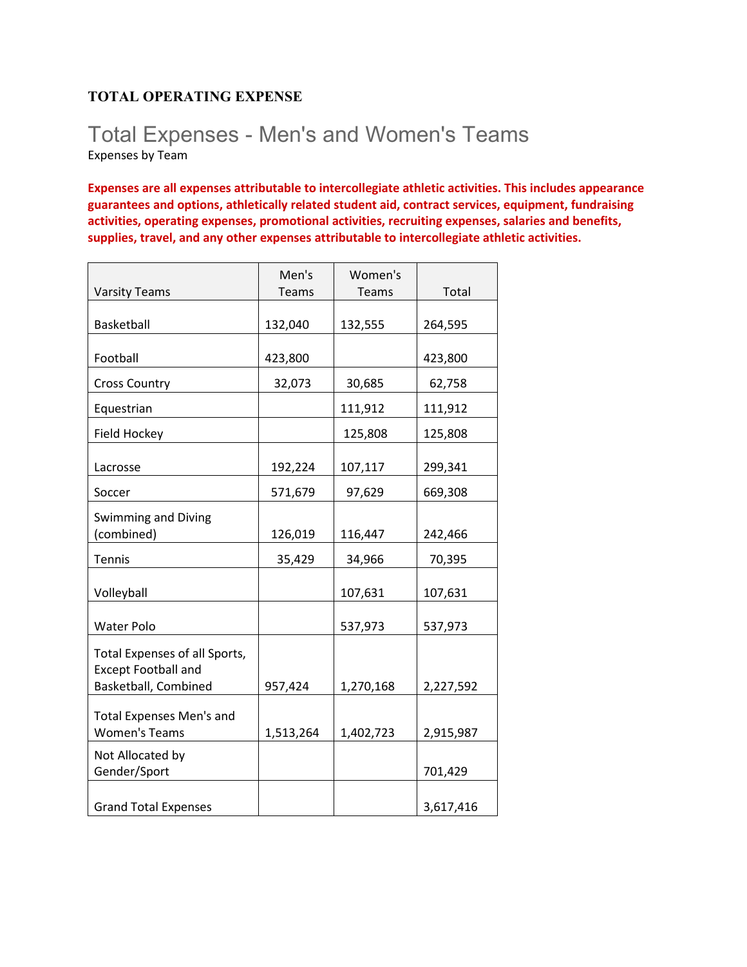### **TOTAL OPERATING EXPENSE**

# Total Expenses - Men's and Women's Teams Expenses by Team

**Expenses are all expenses attributable to intercollegiate athletic activities. This includes appearance guarantees and options, athletically related student aid, contract services, equipment, fundraising activities, operating expenses, promotional activities, recruiting expenses, salaries and benefits, supplies, travel, and any other expenses attributable to intercollegiate athletic activities.** 

|                                                                                     | Men's        | Women's   |           |
|-------------------------------------------------------------------------------------|--------------|-----------|-----------|
| <b>Varsity Teams</b>                                                                | <b>Teams</b> | Teams     | Total     |
| Basketball                                                                          | 132,040      | 132,555   | 264,595   |
| Football                                                                            | 423,800      |           | 423,800   |
| <b>Cross Country</b>                                                                | 32,073       | 30,685    | 62,758    |
| Equestrian                                                                          |              | 111,912   | 111,912   |
| Field Hockey                                                                        |              | 125,808   | 125,808   |
| Lacrosse                                                                            | 192,224      | 107,117   | 299,341   |
| Soccer                                                                              | 571,679      | 97,629    | 669,308   |
| Swimming and Diving<br>(combined)                                                   | 126,019      | 116,447   | 242,466   |
| Tennis                                                                              | 35,429       | 34,966    | 70,395    |
| Volleyball                                                                          |              | 107,631   | 107,631   |
| <b>Water Polo</b>                                                                   |              | 537,973   | 537,973   |
| Total Expenses of all Sports,<br><b>Except Football and</b><br>Basketball, Combined | 957,424      | 1,270,168 | 2,227,592 |
| <b>Total Expenses Men's and</b><br><b>Women's Teams</b>                             | 1,513,264    | 1,402,723 | 2,915,987 |
| Not Allocated by<br>Gender/Sport                                                    |              |           | 701,429   |
| <b>Grand Total Expenses</b>                                                         |              |           | 3,617,416 |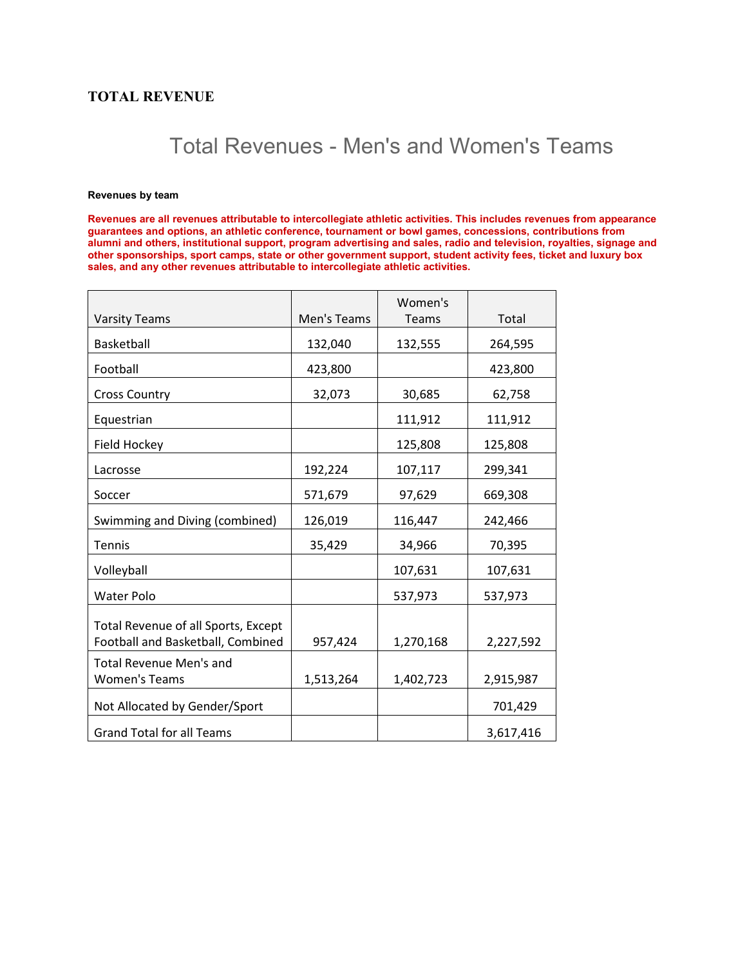#### **TOTAL REVENUE**

# Total Revenues - Men's and Women's Teams

#### **Revenues by team**

**Revenues are all revenues attributable to intercollegiate athletic activities. This includes revenues from appearance guarantees and options, an athletic conference, tournament or bowl games, concessions, contributions from alumni and others, institutional support, program advertising and sales, radio and television, royalties, signage and other sponsorships, sport camps, state or other government support, student activity fees, ticket and luxury box sales, and any other revenues attributable to intercollegiate athletic activities.**

|                                                                          |             | Women's      |           |
|--------------------------------------------------------------------------|-------------|--------------|-----------|
| <b>Varsity Teams</b>                                                     | Men's Teams | <b>Teams</b> | Total     |
| Basketball                                                               | 132,040     | 132,555      | 264,595   |
| Football                                                                 | 423,800     |              | 423,800   |
| <b>Cross Country</b>                                                     | 32,073      | 30,685       | 62,758    |
| Equestrian                                                               |             | 111,912      | 111,912   |
| Field Hockey                                                             |             | 125,808      | 125,808   |
| Lacrosse                                                                 | 192,224     | 107,117      | 299,341   |
| Soccer                                                                   | 571,679     | 97,629       | 669,308   |
| Swimming and Diving (combined)                                           | 126,019     | 116,447      | 242,466   |
| <b>Tennis</b>                                                            | 35,429      | 34,966       | 70,395    |
| Volleyball                                                               |             | 107,631      | 107,631   |
| <b>Water Polo</b>                                                        |             | 537,973      | 537,973   |
| Total Revenue of all Sports, Except<br>Football and Basketball, Combined | 957,424     | 1,270,168    | 2,227,592 |
| <b>Total Revenue Men's and</b>                                           |             |              |           |
| <b>Women's Teams</b>                                                     | 1,513,264   | 1,402,723    | 2,915,987 |
| Not Allocated by Gender/Sport                                            |             |              | 701,429   |
| <b>Grand Total for all Teams</b>                                         |             |              | 3,617,416 |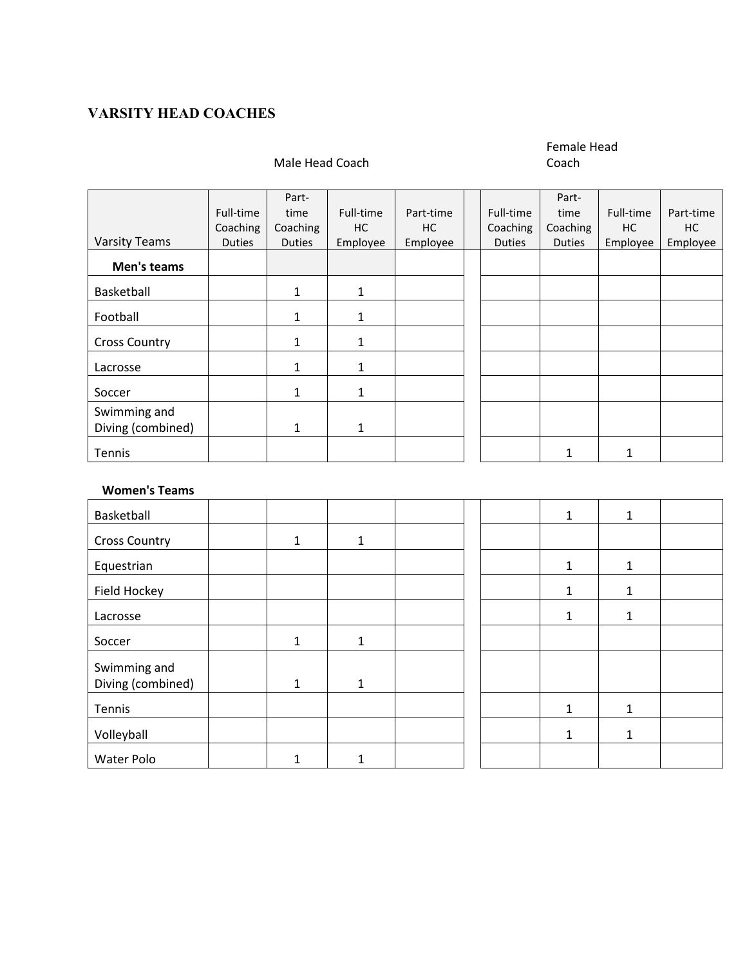## **VARSITY HEAD COACHES**

#### Male Head Coach

# Female Head

Coach

|                      |               | Part-         |              |           |               | Part-         |           |           |
|----------------------|---------------|---------------|--------------|-----------|---------------|---------------|-----------|-----------|
|                      | Full-time     | time          | Full-time    | Part-time | Full-time     | time          | Full-time | Part-time |
|                      | Coaching      | Coaching      | HC.          | HC.       | Coaching      | Coaching      | HC.       | HC.       |
| <b>Varsity Teams</b> | <b>Duties</b> | <b>Duties</b> | Employee     | Employee  | <b>Duties</b> | <b>Duties</b> | Employee  | Employee  |
| Men's teams          |               |               |              |           |               |               |           |           |
| Basketball           |               | 1             | 1            |           |               |               |           |           |
| Football             |               | $\mathbf{1}$  | $\mathbf{1}$ |           |               |               |           |           |
| <b>Cross Country</b> |               | 1             | $\mathbf{1}$ |           |               |               |           |           |
| Lacrosse             |               | 1             | 1            |           |               |               |           |           |
| Soccer               |               | 1             | 1            |           |               |               |           |           |
| Swimming and         |               |               |              |           |               |               |           |           |
| Diving (combined)    |               | 1             | 1            |           |               |               |           |           |
| Tennis               |               |               |              |           |               |               |           |           |

#### **Women's Teams**

| Basketball           |              |   |  | 1 | $\mathbf{1}$ |
|----------------------|--------------|---|--|---|--------------|
| <b>Cross Country</b> | 1            | 1 |  |   |              |
| Equestrian           |              |   |  |   | $\mathbf{1}$ |
| Field Hockey         |              |   |  |   | 1            |
| Lacrosse             |              |   |  |   | $\mathbf{1}$ |
| Soccer               | 1            | 1 |  |   |              |
| Swimming and         |              |   |  |   |              |
| Diving (combined)    | $\mathbf{1}$ | 1 |  |   |              |
| Tennis               |              |   |  | 1 | $\mathbf{1}$ |
| Volleyball           |              |   |  | 1 | $\mathbf{1}$ |
| Water Polo           | 1            |   |  |   |              |

| $\mathbf 1$  | $\mathbf{1}$ |  |
|--------------|--------------|--|
|              |              |  |
| $\mathbf 1$  | $\mathbf 1$  |  |
| $\mathbf{1}$ | $\mathbf{1}$ |  |
| $\mathbf 1$  | $\mathbf 1$  |  |
|              |              |  |
|              |              |  |
| $\mathbf 1$  | $\mathbf 1$  |  |
| $\mathbf{1}$ | $\mathbf{1}$ |  |
|              |              |  |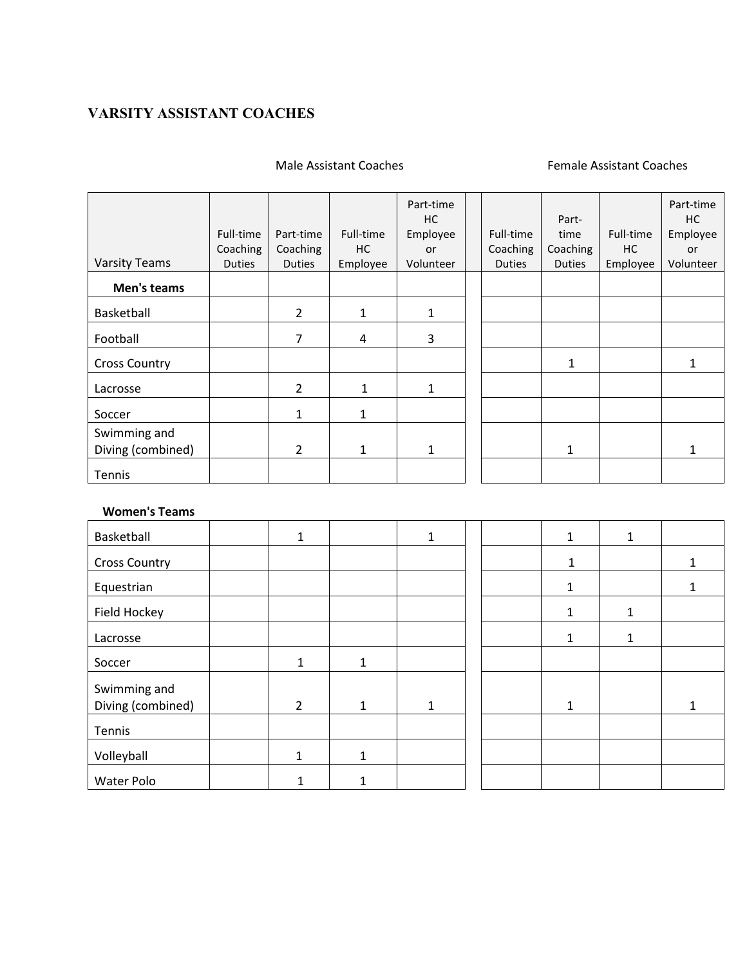# **VARSITY ASSISTANT COACHES**

#### Male Assistant Coaches **Female Assistant Coaches**

|                                   | Full-time<br>Coaching | Part-time<br>Coaching | Full-time<br>HC | Part-time<br>НC<br>Employee<br><b>or</b> | Full-time<br>Coaching | Part-<br>time<br>Coaching | Full-time<br>HC | Part-time<br>HC.<br>Employee<br>or |
|-----------------------------------|-----------------------|-----------------------|-----------------|------------------------------------------|-----------------------|---------------------------|-----------------|------------------------------------|
| <b>Varsity Teams</b>              | <b>Duties</b>         | <b>Duties</b>         | Employee        | Volunteer                                | <b>Duties</b>         | <b>Duties</b>             | Employee        | Volunteer                          |
| Men's teams                       |                       |                       |                 |                                          |                       |                           |                 |                                    |
| Basketball                        |                       | $\overline{2}$        | 1               | $\mathbf{1}$                             |                       |                           |                 |                                    |
| Football                          |                       | $\overline{7}$        | 4               | 3                                        |                       |                           |                 |                                    |
| <b>Cross Country</b>              |                       |                       |                 |                                          |                       | $\mathbf{1}$              |                 |                                    |
| Lacrosse                          |                       | $\overline{2}$        | 1               | 1                                        |                       |                           |                 |                                    |
| Soccer                            |                       | $\mathbf{1}$          | 1               |                                          |                       |                           |                 |                                    |
| Swimming and<br>Diving (combined) |                       | $\overline{2}$        | $\mathbf{1}$    | 1                                        |                       | 1                         |                 |                                    |
| Tennis                            |                       |                       |                 |                                          |                       |                           |                 |                                    |

#### **Women's Teams**

| Basketball           | 1              |              | 1 |  |              |  |
|----------------------|----------------|--------------|---|--|--------------|--|
| <b>Cross Country</b> |                |              |   |  | 1            |  |
| Equestrian           |                |              |   |  |              |  |
| Field Hockey         |                |              |   |  | 1            |  |
| Lacrosse             |                |              |   |  | $\mathbf{1}$ |  |
| Soccer               | 1              | 1            |   |  |              |  |
| Swimming and         |                |              |   |  |              |  |
| Diving (combined)    | $\overline{2}$ | $\mathbf{1}$ | 1 |  | 1            |  |
| Tennis               |                |              |   |  |              |  |
| Volleyball           | 1              | 1            |   |  |              |  |
| Water Polo           |                |              |   |  |              |  |